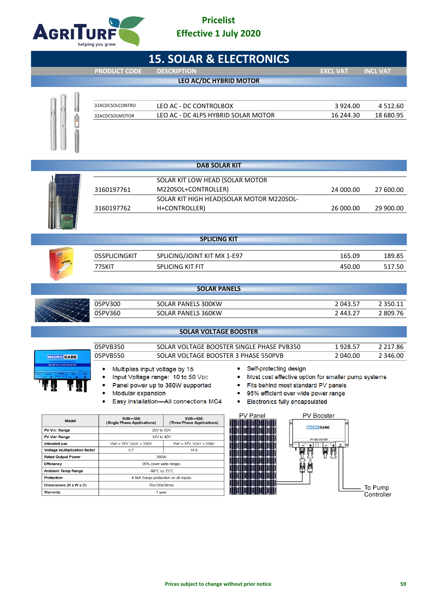

ł.

## **Pricelist Effective 1 July 2020**

| <b>15. SOLAR &amp; ELECTRONICS</b>                                                                                                                                                                                                                                                                                                                                                                                                             |                                                                                |                                              |                                           |                   |                 |  |  |
|------------------------------------------------------------------------------------------------------------------------------------------------------------------------------------------------------------------------------------------------------------------------------------------------------------------------------------------------------------------------------------------------------------------------------------------------|--------------------------------------------------------------------------------|----------------------------------------------|-------------------------------------------|-------------------|-----------------|--|--|
|                                                                                                                                                                                                                                                                                                                                                                                                                                                | <b>PRODUCT CODE</b>                                                            | <b>DESCRIPTION</b>                           |                                           | <b>EXCL VAT</b>   | <b>INCL VAT</b> |  |  |
|                                                                                                                                                                                                                                                                                                                                                                                                                                                |                                                                                | LEO AC/DC HYBRID MOTOR                       |                                           |                   |                 |  |  |
|                                                                                                                                                                                                                                                                                                                                                                                                                                                | 32ACDCSOLCONTRO                                                                | LEO AC - DC CONTROLBOX                       |                                           | 3 9 2 4 .00       | 4 5 1 2 .60     |  |  |
|                                                                                                                                                                                                                                                                                                                                                                                                                                                |                                                                                | LEO AC - DC 4LPS HYBRID SOLAR MOTOR          |                                           | 16 244.30         | 18 680.95       |  |  |
|                                                                                                                                                                                                                                                                                                                                                                                                                                                | 32ACDCSOLMOTOR                                                                 |                                              |                                           |                   |                 |  |  |
|                                                                                                                                                                                                                                                                                                                                                                                                                                                |                                                                                | <b>DAB SOLAR KIT</b>                         |                                           |                   |                 |  |  |
|                                                                                                                                                                                                                                                                                                                                                                                                                                                |                                                                                | SOLAR KIT LOW HEAD (SOLAR MOTOR              |                                           |                   |                 |  |  |
|                                                                                                                                                                                                                                                                                                                                                                                                                                                | 3160197761                                                                     | M220SOL+CONTROLLER)                          |                                           | 24 000.00         | 27 600.00       |  |  |
|                                                                                                                                                                                                                                                                                                                                                                                                                                                |                                                                                |                                              | SOLAR KIT HIGH HEAD(SOLAR MOTOR M220SOL-  |                   |                 |  |  |
|                                                                                                                                                                                                                                                                                                                                                                                                                                                | 3160197762                                                                     | H+CONTROLLER)                                |                                           | 26 000.00         | 29 900.00       |  |  |
|                                                                                                                                                                                                                                                                                                                                                                                                                                                |                                                                                |                                              |                                           |                   |                 |  |  |
|                                                                                                                                                                                                                                                                                                                                                                                                                                                |                                                                                |                                              |                                           |                   |                 |  |  |
|                                                                                                                                                                                                                                                                                                                                                                                                                                                |                                                                                | <b>SPLICING KIT</b>                          |                                           |                   |                 |  |  |
|                                                                                                                                                                                                                                                                                                                                                                                                                                                | 05SPLICINGKIT                                                                  | SPLICING/JOINT KIT MX 1-E97                  |                                           | 165.09            | 189.85          |  |  |
|                                                                                                                                                                                                                                                                                                                                                                                                                                                | 77SKIT                                                                         | SPLICING KIT FIT                             |                                           | 450.00            | 517.50          |  |  |
|                                                                                                                                                                                                                                                                                                                                                                                                                                                |                                                                                |                                              |                                           |                   |                 |  |  |
| <b>SOLAR PANELS</b>                                                                                                                                                                                                                                                                                                                                                                                                                            |                                                                                |                                              |                                           |                   |                 |  |  |
|                                                                                                                                                                                                                                                                                                                                                                                                                                                | 05PV300                                                                        | SOLAR PANELS 300KW                           |                                           | 2 043.57          | 2 3 5 0 . 1 1   |  |  |
|                                                                                                                                                                                                                                                                                                                                                                                                                                                | 05PV360                                                                        | SOLAR PANELS 360KW                           |                                           | 2 443.27          | 2809.76         |  |  |
|                                                                                                                                                                                                                                                                                                                                                                                                                                                |                                                                                |                                              |                                           |                   |                 |  |  |
|                                                                                                                                                                                                                                                                                                                                                                                                                                                |                                                                                | <b>SOLAR VOLTAGE BOOSTER</b>                 |                                           |                   |                 |  |  |
|                                                                                                                                                                                                                                                                                                                                                                                                                                                | 05PVB350                                                                       |                                              | SOLAR VOLTAGE BOOSTER SINGLE PHASE PVB350 | 1928.57           | 2 2 1 7 . 8 6   |  |  |
| <b>MICRO CARE</b>                                                                                                                                                                                                                                                                                                                                                                                                                              | 05PVB550                                                                       | SOLAR VOLTAGE BOOSTER 3 PHASE 550PVB         |                                           | 2 040.00          | 2 346.00        |  |  |
| <b>SOLAR VOLTAGE BOOSTER</b><br>• Self-protecting design<br>Multiplies input voltage by 15<br>Input Voltage range: 10 to 50 VDC<br>Most cost effective option for smaller pump systems<br>Panel power up to 360W supported<br>Fits behind most standard PV panels<br>95% efficient over wide power range<br>Modular expansion<br>Easy installation-All connections MC4<br>Electronics fully encapsulated<br>۰<br>PV Panel<br><b>PV Booster</b> |                                                                                |                                              |                                           |                   |                 |  |  |
| <b>Model</b>                                                                                                                                                                                                                                                                                                                                                                                                                                   | <b>SVB-350</b><br>(Single Phase Applications)                                  | <b>SVB-550</b><br>(Three Phase Applications) |                                           |                   |                 |  |  |
| <b>PV Voc Range</b>                                                                                                                                                                                                                                                                                                                                                                                                                            | 20V to 50V                                                                     |                                              |                                           | <b>MICRO CARE</b> |                 |  |  |
| <b>PV VMP Range</b><br><b>Intended use</b>                                                                                                                                                                                                                                                                                                                                                                                                     | $VMP = 37V$ , $VOUT = 350V$                                                    | 12V to 40V<br>$VMP = 37V$ , $VOUT = 550V$    |                                           | <b>PV BOOSTER</b> |                 |  |  |
| Voltage multiplication factor                                                                                                                                                                                                                                                                                                                                                                                                                  | 9.7                                                                            | 14.9                                         | $+$                                       |                   |                 |  |  |
| <b>Rated Output Power</b>                                                                                                                                                                                                                                                                                                                                                                                                                      |                                                                                | 360W                                         | Ħ                                         | ¥                 |                 |  |  |
| <b>Efficiency</b>                                                                                                                                                                                                                                                                                                                                                                                                                              | 95% (over wide range)<br>-40°C to 75°C<br>4.5kA Surge protection on all inputs |                                              | J<br>₩<br>è                               |                   |                 |  |  |
| <b>Ambient Temp Range</b>                                                                                                                                                                                                                                                                                                                                                                                                                      |                                                                                |                                              |                                           |                   |                 |  |  |
| <b>Protection</b>                                                                                                                                                                                                                                                                                                                                                                                                                              |                                                                                |                                              |                                           |                   |                 |  |  |
| Dimensions (H x W x D)                                                                                                                                                                                                                                                                                                                                                                                                                         |                                                                                | 70x100x36mm                                  |                                           |                   | To Pump         |  |  |
| Warranty                                                                                                                                                                                                                                                                                                                                                                                                                                       |                                                                                | 1 year                                       |                                           |                   | Controller      |  |  |